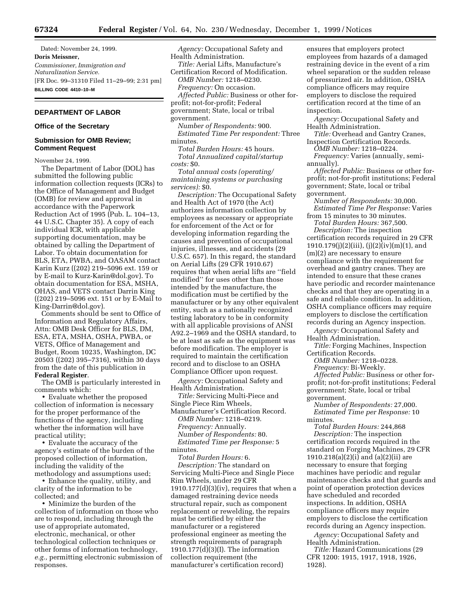Dated: November 24, 1999. **Doris Meissner,** *Commissioner, Immigration and Naturalization Service.* [FR Doc. 99–31310 Filed 11–29–99; 2:31 pm] **BILLING CODE 4410–10–M**

# **DEPARTMENT OF LABOR**

**Office of the Secretary**

# **Submission for OMB Review; Comment Request**

November 24, 1999.

The Department of Labor (DOL) has submitted the following public information collection requests (ICRs) to the Office of Management and Budget (OMB) for review and approval in accordance with the Paperwork Reduction Act of 1995 (Pub. L. 104–13, 44 U.S.C. Chapter 35). A copy of each individual ICR, with applicable supporting documentation, may be obtained by calling the Department of Labor. To obtain documentation for BLS, ETA, PWBA, and OASAM contact Karin Kurz ((202) 219–5096 ext. 159 or by E-mail to Kurz-Karin@dol.gov). To obtain documentation for ESA, MSHA, OHAS, and VETS contact Darrin King ((202) 219–5096 ext. 151 or by E-Mail to King-Darrin@dol.gov).

Comments should be sent to Office of Information and Regulatory Affairs, Attn: OMB Desk Officer for BLS, DM, ESA, ETA, MSHA, OSHA, PWBA, or VETS, Office of Management and Budget, Room 10235, Washington, DC 20503 ((202) 395–7316), within 30 days from the date of this publication in **Federal Register**.

The OMB is particularly interested in comments which:

• Evaluate whether the proposed collection of information is necessary for the proper performance of the functions of the agency, including whether the information will have practical utility;

• Evaluate the accuracy of the agency's estimate of the burden of the proposed collection of information, including the validity of the methodology and assumptions used;

• Enhance the quality, utility, and clarity of the information to be collected; and

• Minimize the burden of the collection of information on those who are to respond, including through the use of appropriate automated, electronic, mechanical, or other technological collection techniques or other forms of information technology, *e.g.,* permitting electronic submission of responses.

*Agency:* Occupational Safety and Health Administration.

*Title:* Aerial Lifts, Manufacture's Certification Record of Modification. *OMB Number:* 1218–0230. *Frequency:* On occasion. *Affected Public:* Business or other forprofit; not-for-profit; Federal government; State, local or tribal government.

*Number of Respondents:* 900. *Estimated Time Per respondent:* Three minutes.

*Total Burden Hours:* 45 hours. *Total Annualized capital/startup costs:* \$0.

*Total annual costs (operating/ maintaining systems or purchasing services):* \$0.

*Description:* The Occupational Safety and Health Act of 1970 (the Act) authorizes information collection by employees as necessary or appropriate for enforcement of the Act or for developing information regarding the causes and prevention of occupational injuries, illnesses, and accidents (29 U.S.C. 657). In this regard, the standard on Aerial Lifts (29 CFR 1910.67) requires that when aerial lifts are ''field modified'' for uses other than those intended by the manufacture, the modification must be certified by the manufacturer or by any other equivalent entity, such as a nationally recognized testing laboratory to be in conformity with all applicable provisions of ANSI A92.2–1969 and the OSHA standard, to be at least as safe as the equipment was before modification. The employer is required to maintain the certification record and to disclose to an OSHA Compliance Officer upon request.

*Agency:* Occupational Safety and Health Administration.

*Title:* Servicing Multi-Piece and Single Piece Rim Wheels,

Manufacturer's Certification Record. *OMB Number:* 1218–0219. *Frequency:* Annually. *Number of Respondents:* 80. *Estimated Time per Response:* 5 minutes.

*Total Burden Hours:* 6. *Description:* The standard on Servicing Multi-Piece and Single Piece Rim Wheels, under 29 CFR  $1910.177(d)(3)(iv)$ , requires that when a damaged restraining device needs structural repair, such as component replacement or rewelding, the repairs must be certified by either the manufacturer or a registered professional engineer as meeting the strength requirements of paragraph 1910.177(d)(3)(I). The information collection requirement (the manufacturer's certification record)

ensures that employers protect employees from hazards of a damaged restraining device in the event of a rim wheel separation or the sudden release of pressurized air. In addition, OSHA compliance officers may require employers to disclose the required certification record at the time of an inspection.

*Agency:* Occupational Safety and Health Administration.

*Title:* Overhead and Gantry Cranes, Inspection Certification Records.

*OMB Number:* 1218–0224. *Frequency:* Varies (annually, semiannually).

*Affected Public:* Business or other forprofit; not-for-profit institutions; Federal government; State, local or tribal government.

*Number of Respondents:* 30,000. *Estimated Time Per Response:* Varies from 15 minutes to 30 minutes.

*Total Burden Hours:* 367,500.

*Description:* The inspection certification records required in 29 CFR  $1910.179(j)(2)(iii)$ ,  $(j)(2)(iv)(m)(1)$ , and (m)(2) are necessary to ensure compliance with the requirement for overhead and gantry cranes. They are intended to ensure that these cranes have periodic and recorder maintenance checks and that they are operating in a safe and reliable condition. In addition, OSHA compliance officers may require employers to disclose the certification records during an Agency inspection.

*Agency:* Occupational Safety and Health Administration.

*Title:* Forging Machines, Inspection Certification Records.

*OMB Number:* 1218–0228.

*Frequency:* Bi-Weekly.

*Affected Public:* Business or other forprofit; not-for-profit institutions; Federal government; State, local or tribal government.

*Number of Respondents:* 27,000. *Estimated Time per Response:* 10 minutes.

*Total Burden Hours:* 244,868 *Description:* The inspection certification records required in the standard on Forging Machines, 29 CFR 1910.218(a)(2)(i) and (a)(2)(ii) are necessary to ensure that forging machines have periodic and regular maintenance checks and that guards and point of operation protection devices have scheduled and recorded inspections. In addition, OSHA compliance officers may require employers to disclose the certification records during an Agency inspection.

*Agency:* Occupational Safety and Health Administration.

*Title:* Hazard Communications (29 CFR 1200: 1915, 1917, 1918, 1926, 1928).